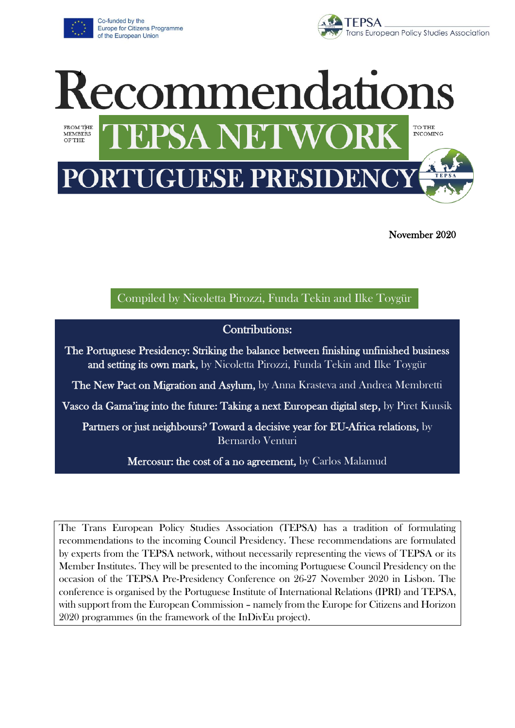

Co-funded by the Europe for Citizens Programme of the European Union





November 2020

Compiled by Nicoletta Pirozzi, Funda Tekin and Ilke Toygür

#### Contributions:

The Portuguese Presidency: Striking the balance between finishing unfinished business and setting its own mark, by Nicoletta Pirozzi, Funda Tekin and Ilke Toygür

The New Pact on Migration and Asylum, by Anna Krasteva and Andrea Membretti

Vasco da Gama'ing into the future: Taking a next European digital step, by Piret Kuusik

Partners or just neighbours? Toward a decisive year for EU-Africa relations, by Bernardo Venturi

Mercosur: the cost of a no agreement, by Carlos Malamud

The Trans European Policy Studies Association (TEPSA) has a tradition of formulating recommendations to the incoming Council Presidency. These recommendations are formulated by experts from the TEPSA network, without necessarily representing the views of TEPSA or its Member Institutes. They will be presented to the incoming Portuguese Council Presidency on the occasion of the TEPSA Pre-Presidency Conference on 26-27 November 2020 in Lisbon. The conference is organised by the Portuguese Institute of International Relations (IPRI) and TEPSA, with support from the European Commission – namely from the Europe for Citizens and Horizon 2020 programmes (in the framework of the InDivEu project).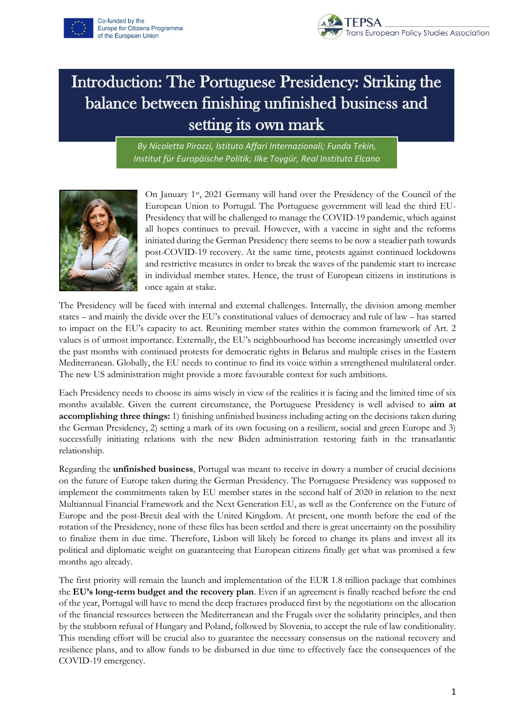



# Introduction: The Portuguese Presidency: Striking the balance between finishing unfinished business and setting its own mark

*By Nicoletta Pirozzi, Istituto Affari Internazionali; Funda Tekin, Institut für Europäische Politik; Ilke Toygür, Real Instituto Elcano*



On January 1st, 2021 Germany will hand over the Presidency of the Council of the European Union to Portugal. The Portuguese government will lead the third EU-Presidency that will be challenged to manage the COVID-19 pandemic, which against all hopes continues to prevail. However, with a vaccine in sight and the reforms initiated during the German Presidency there seems to be now a steadier path towards post-COVID-19 recovery. At the same time, protests against continued lockdowns and restrictive measures in order to break the waves of the pandemic start to increase in individual member states. Hence, the trust of European citizens in institutions is once again at stake.

The Presidency will be faced with internal and external challenges. Internally, the division among member states – and mainly the divide over the EU's constitutional values of democracy and rule of law – has started to impact on the EU's capacity to act. Reuniting member states within the common framework of Art. 2 values is of utmost importance. Externally, the EU's neighbourhood has become increasingly unsettled over the past months with continued protests for democratic rights in Belarus and multiple crises in the Eastern Mediterranean. Globally, the EU needs to continue to find its voice within a strengthened multilateral order. The new US administration might provide a more favourable context for such ambitions.

Each Presidency needs to choose its aims wisely in view of the realities it is facing and the limited time of six months available. Given the current circumstance, the Portuguese Presidency is well advised to **aim at accomplishing three things:** 1) finishing unfinished business including acting on the decisions taken during the German Presidency, 2) setting a mark of its own focusing on a resilient, social and green Europe and 3) successfully initiating relations with the new Biden administration restoring faith in the transatlantic relationship.

Regarding the **unfinished business**, Portugal was meant to receive in dowry a number of crucial decisions on the future of Europe taken during the German Presidency. The Portuguese Presidency was supposed to implement the commitments taken by EU member states in the second half of 2020 in relation to the next Multiannual Financial Framework and the Next Generation EU, as well as the Conference on the Future of Europe and the post-Brexit deal with the United Kingdom. At present, one month before the end of the rotation of the Presidency, none of these files has been settled and there is great uncertainty on the possibility to finalize them in due time. Therefore, Lisbon will likely be forced to change its plans and invest all its political and diplomatic weight on guaranteeing that European citizens finally get what was promised a few months ago already.

The first priority will remain the launch and implementation of the EUR 1.8 trillion package that combines the **EU's long-term budget and the recovery plan**. Even if an agreement is finally reached before the end of the year, Portugal will have to mend the deep fractures produced first by the negotiations on the allocation of the financial resources between the Mediterranean and the Frugals over the solidarity principles, and then by the stubborn refusal of Hungary and Poland, followed by Slovenia, to accept the rule of law conditionality. This mending effort will be crucial also to guarantee the necessary consensus on the national recovery and resilience plans, and to allow funds to be disbursed in due time to effectively face the consequences of the COVID-19 emergency.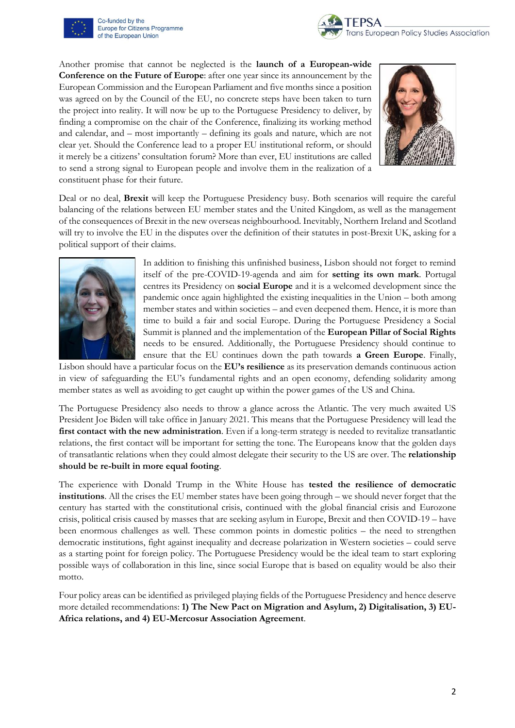

Co-funded by the Europe for Citizens Programme of the European Union



Another promise that cannot be neglected is the **launch of a European-wide Conference on the Future of Europe**: after one year since its announcement by the European Commission and the European Parliament and five months since a position was agreed on by the Council of the EU, no concrete steps have been taken to turn the project into reality. It will now be up to the Portuguese Presidency to deliver, by finding a compromise on the chair of the Conference, finalizing its working method and calendar, and – most importantly – defining its goals and nature, which are not clear yet. Should the Conference lead to a proper EU institutional reform, or should it merely be a citizens' consultation forum? More than ever, EU institutions are called to send a strong signal to European people and involve them in the realization of a constituent phase for their future.



Deal or no deal, **Brexit** will keep the Portuguese Presidency busy. Both scenarios will require the careful balancing of the relations between EU member states and the United Kingdom, as well as the management of the consequences of Brexit in the new overseas neighbourhood. Inevitably, Northern Ireland and Scotland will try to involve the EU in the disputes over the definition of their statutes in post-Brexit UK, asking for a political support of their claims.



In addition to finishing this unfinished business, Lisbon should not forget to remind itself of the pre-COVID-19-agenda and aim for **setting its own mark**. Portugal centres its Presidency on **social Europe** and it is a welcomed development since the pandemic once again highlighted the existing inequalities in the Union – both among member states and within societies – and even deepened them. Hence, it is more than time to build a fair and social Europe. During the Portuguese Presidency a Social Summit is planned and the implementation of the **European Pillar of Social Rights**  needs to be ensured. Additionally, the Portuguese Presidency should continue to ensure that the EU continues down the path towards **a Green Europe**. Finally,

Lisbon should have a particular focus on the **EU's resilience** as its preservation demands continuous action in view of safeguarding the EU's fundamental rights and an open economy, defending solidarity among member states as well as avoiding to get caught up within the power games of the US and China.

The Portuguese Presidency also needs to throw a glance across the Atlantic. The very much awaited US President Joe Biden will take office in January 2021. This means that the Portuguese Presidency will lead the **first contact with the new administration**. Even if a long-term strategy is needed to revitalize transatlantic relations, the first contact will be important for setting the tone. The Europeans know that the golden days of transatlantic relations when they could almost delegate their security to the US are over. The **relationship should be re-built in more equal footing**.

The experience with Donald Trump in the White House has **tested the resilience of democratic institutions**. All the crises the EU member states have been going through – we should never forget that the century has started with the constitutional crisis, continued with the global financial crisis and Eurozone crisis, political crisis caused by masses that are seeking asylum in Europe, Brexit and then COVID-19 – have been enormous challenges as well. These common points in domestic politics – the need to strengthen democratic institutions, fight against inequality and decrease polarization in Western societies – could serve as a starting point for foreign policy. The Portuguese Presidency would be the ideal team to start exploring possible ways of collaboration in this line, since social Europe that is based on equality would be also their motto.

Four policy areas can be identified as privileged playing fields of the Portuguese Presidency and hence deserve more detailed recommendations: **1) The New Pact on Migration and Asylum, 2) Digitalisation, 3) EU-Africa relations, and 4) EU-Mercosur Association Agreement**.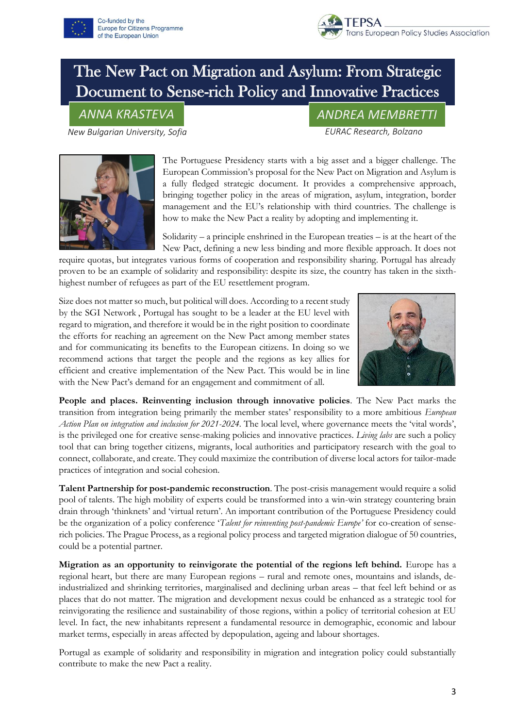



### The New Pact on Migration and Asylum: From Strategic Document to Sense-rich Policy and Innovative Practices

*New Bulgarian University, Sofia EURAC Research, Bolzano*

*ANNA KRASTEVA ANDREA MEMBRETTI*



The Portuguese Presidency starts with a big asset and a bigger challenge. The European Commission's proposal for the New Pact on Migration and Asylum is a fully fledged strategic document. It provides a comprehensive approach, bringing together policy in the areas of migration, asylum, integration, border management and the EU's relationship with third countries. The challenge is how to make the New Pact a reality by adopting and implementing it.

Solidarity – a principle enshrined in the European treaties – is at the heart of the New Pact, defining a new less binding and more flexible approach. It does not

require quotas, but integrates various forms of cooperation and responsibility sharing. Portugal has already proven to be an example of solidarity and responsibility: despite its size, the country has taken in the sixthhighest number of refugees as part of the EU resettlement program.

Size does not matter so much, but political will does. According to a recent study by the SGI Network , Portugal has sought to be a leader at the EU level with regard to migration, and therefore it would be in the right position to coordinate the efforts for reaching an agreement on the New Pact among member states and for communicating its benefits to the European citizens. In doing so we recommend actions that target the people and the regions as key allies for efficient and creative implementation of the New Pact. This would be in line with the New Pact's demand for an engagement and commitment of all.



**People and places. Reinventing inclusion through innovative policies**. The New Pact marks the transition from integration being primarily the member states' responsibility to a more ambitious *European Action Plan on integration and inclusion for 2021-2024.* The local level, where governance meets the 'vital words', is the privileged one for creative sense-making policies and innovative practices. *Living labs* are such a policy tool that can bring together citizens, migrants, local authorities and participatory research with the goal to connect, collaborate, and create. They could maximize the contribution of diverse local actors for tailor-made practices of integration and social cohesion.

**Talent Partnership for post-pandemic reconstruction**. The post-crisis management would require a solid pool of talents. The high mobility of experts could be transformed into a win-win strategy countering brain drain through 'thinknets' and 'virtual return'. An important contribution of the Portuguese Presidency could be the organization of a policy conference '*Talent for reinventing post-pandemic Europe'* for co-creation of senserich policies. The Prague Process, as a regional policy process and targeted migration dialogue of 50 countries, could be a potential partner.

**Migration as an opportunity to reinvigorate the potential of the regions left behind.** Europe has a regional heart, but there are many European regions – rural and remote ones, mountains and islands, deindustrialized and shrinking territories, marginalised and declining urban areas – that feel left behind or as places that do not matter. The migration and development nexus could be enhanced as a strategic tool for reinvigorating the resilience and sustainability of those regions, within a policy of territorial cohesion at EU level. In fact, the new inhabitants represent a fundamental resource in demographic, economic and labour market terms, especially in areas affected by depopulation, ageing and labour shortages.

Portugal as example of solidarity and responsibility in migration and integration policy could substantially contribute to make the new Pact a reality.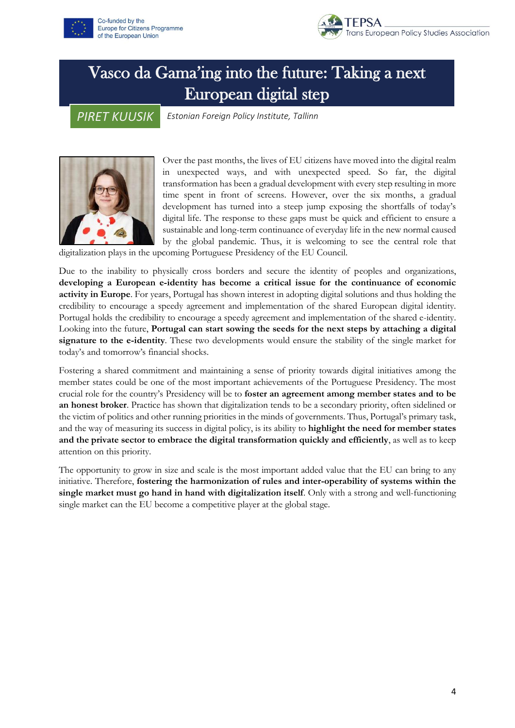



# Vasco da Gama'ing into the future: Taking a next European digital step

*PIRET KUUSIK*

*Estonian Foreign Policy Institute, Tallinn*



Over the past months, the lives of EU citizens have moved into the digital realm in unexpected ways, and with unexpected speed. So far, the digital transformation has been a gradual development with every step resulting in more time spent in front of screens. However, over the six months, a gradual development has turned into a steep jump exposing the shortfalls of today's digital life. The response to these gaps must be quick and efficient to ensure a sustainable and long-term continuance of everyday life in the new normal caused by the global pandemic. Thus, it is welcoming to see the central role that

digitalization plays in the upcoming Portuguese Presidency of the EU Council.

Due to the inability to physically cross borders and secure the identity of peoples and organizations, **developing a European e-identity has become a critical issue for the continuance of economic activity in Europe**. For years, Portugal has shown interest in adopting digital solutions and thus holding the credibility to encourage a speedy agreement and implementation of the shared European digital identity. Portugal holds the credibility to encourage a speedy agreement and implementation of the shared e-identity. Looking into the future, **Portugal can start sowing the seeds for the next steps by attaching a digital signature to the e-identity**. These two developments would ensure the stability of the single market for today's and tomorrow's financial shocks.

Fostering a shared commitment and maintaining a sense of priority towards digital initiatives among the member states could be one of the most important achievements of the Portuguese Presidency. The most crucial role for the country's Presidency will be to **foster an agreement among member states and to be an honest broker**. Practice has shown that digitalization tends to be a secondary priority, often sidelined or the victim of politics and other running priorities in the minds of governments. Thus, Portugal's primary task, and the way of measuring its success in digital policy, is its ability to **highlight the need for member states and the private sector to embrace the digital transformation quickly and efficiently**, as well as to keep attention on this priority.

The opportunity to grow in size and scale is the most important added value that the EU can bring to any initiative. Therefore, **fostering the harmonization of rules and inter-operability of systems within the single market must go hand in hand with digitalization itself**. Only with a strong and well-functioning single market can the EU become a competitive player at the global stage.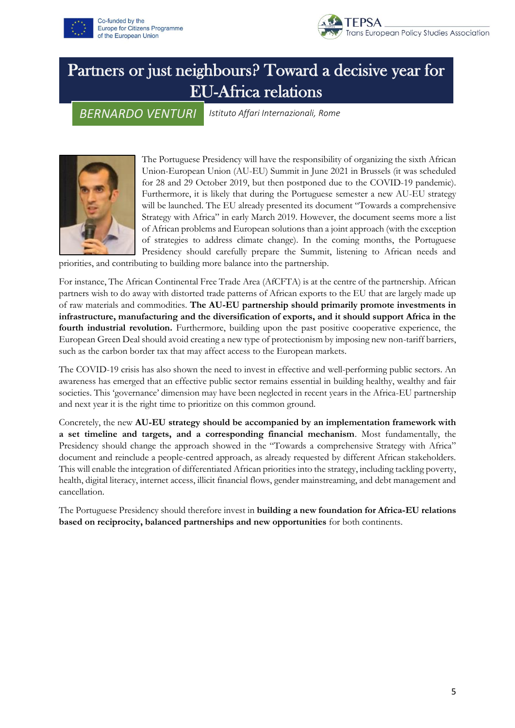



## Partners or just neighbours? Toward a decisive year for EU-Africa relations

#### *BERNARDO VENTURI*

*Istituto Affari Internazionali, Rome*



The Portuguese Presidency will have the responsibility of organizing the sixth African Union-European Union (AU-EU) Summit in June 2021 in Brussels (it was scheduled for 28 and 29 October 2019, but then postponed due to the COVID-19 pandemic). Furthermore, it is likely that during the Portuguese semester a new AU-EU strategy will be launched. The EU already presented its document "Towards a comprehensive Strategy with Africa" in early March 2019. However, the document seems more a list of African problems and European solutions than a joint approach (with the exception of strategies to address climate change). In the coming months, the Portuguese Presidency should carefully prepare the Summit, listening to African needs and

priorities, and contributing to building more balance into the partnership.

For instance, The African Continental Free Trade Area (AfCFTA) is at the centre of the partnership. African partners wish to do away with distorted trade patterns of African exports to the EU that are largely made up of raw materials and commodities. **The AU-EU partnership should primarily promote investments in infrastructure, manufacturing and the diversification of exports, and it should support Africa in the fourth industrial revolution.** Furthermore, building upon the past positive cooperative experience, the European Green Deal should avoid creating a new type of protectionism by imposing new non-tariff barriers, such as the carbon border tax that may affect access to the European markets.

The COVID-19 crisis has also shown the need to invest in effective and well-performing public sectors. An awareness has emerged that an effective public sector remains essential in building healthy, wealthy and fair societies. This 'governance' dimension may have been neglected in recent years in the Africa-EU partnership and next year it is the right time to prioritize on this common ground.

Concretely, the new **AU-EU strategy should be accompanied by an implementation framework with a set timeline and targets, and a corresponding financial mechanism**. Most fundamentally, the Presidency should change the approach showed in the "Towards a comprehensive Strategy with Africa" document and reinclude a people-centred approach, as already requested by different African stakeholders. This will enable the integration of differentiated African priorities into the strategy, including tackling poverty, health, digital literacy, internet access, illicit financial flows, gender mainstreaming, and debt management and cancellation.

The Portuguese Presidency should therefore invest in **building a new foundation for Africa-EU relations based on reciprocity, balanced partnerships and new opportunities** for both continents.